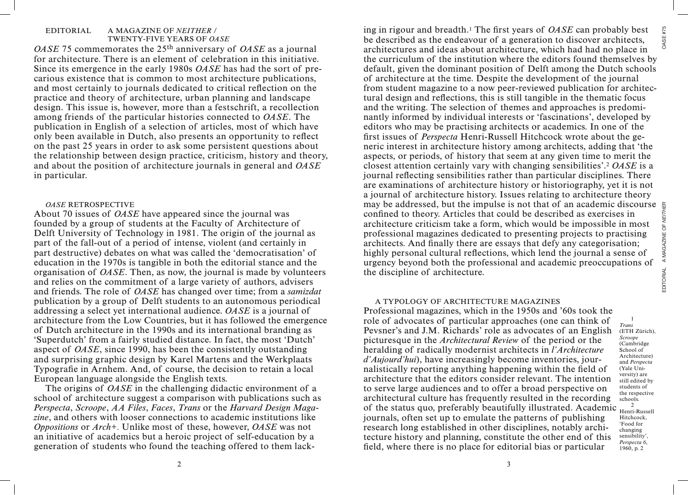### EDITORIAL A MAGAZINE OF *NEITHER* / TWENTY-FIVE YEARS OF *OASE*

*OASE* 75 commemorates the 25th anniversary of *OASE* as a journal for architecture. There is an element of celebration in this initiative. Since its emergence in the early 1980s *OASE* has had the sort of precarious existence that is common to most architecture publications, and most certainly to journals dedicated to critical reflection on the practice and theory of architecture, urban planning and landscape design. This issue is, however, more than a festschrift, a recollection among friends of the particular histories connected to *OASE*. The publication in English of a selection of articles, most of which have only been available in Dutch, also presents an opportunity to reflect on the past 25 years in order to ask some persistent questions about the relationship between design practice, criticism, history and theory, and about the position of architecture journals in general and *OASE* in particular.

# *OASE* RETROSPECTIVE

About 70 issues of *OASE* have appeared since the journal was founded by a group of students at the Faculty of Architecture of Delft University of Technology in 1981. The origin of the journal as part of the fall-out of a period of intense, violent (and certainly in part destructive) debates on what was called the 'democratisation' of education in the 1970s is tangible in both the editorial stance and the organisation of *OASE*. Then, as now, the journal is made by volunteers and relies on the commitment of a large variety of authors, advisers and friends. The role of *OASE* has changed over time; from a *samizdat* publication by a group of Delft students to an autonomous periodical addressing a select yet international audience. *OASE* is a journal of architecture from the Low Countries, but it has followed the emergence of Dutch architecture in the 1990s and its international branding as 'Superdutch' from a fairly studied distance. In fact, the most 'Dutch' aspect of *OASE*, since 1990, has been the consistently outstanding and surprising graphic design by Karel Martens and the Werkplaats Typografie in Arnhem. And, of course, the decision to retain a local European language alongside the English texts.

The origins of *OASE* in the challenging didactic environment of a school of architecture suggest a comparison with publications such as *Perspecta*, *Scroope*, *AA Files*, *Faces*, *Trans* or the *Harvard Design Magazine*, and others with looser connections to academic institutions like *Oppositions* or *Arch+.* Unlike most of these, however, *OASE* was not an initiative of academics but a heroic project of self-education by a generation of students who found the teaching offered to them lack-

ing in rigour and breadth.1 The first years of *OASE* can probably best **OASE #75** be described as the endeavour of a generation to discover architects, architectures and ideas about architecture, which had had no place in the curriculum of the institution where the editors found themselves by default, given the dominant position of Delft among the Dutch schools of architecture at the time. Despite the development of the journal from student magazine to a now peer-reviewed publication for architectural design and reflections, this is still tangible in the thematic focus and the writing. The selection of themes and approaches is predominantly informed by individual interests or 'fascinations', developed by editors who may be practising architects or academics. In one of the first issues of *Perspecta* Henri-Russell Hitchcock wrote about the generic interest in architecture history among architects, adding that 'the aspects, or periods, of history that seem at any given time to merit the closest attention certainly vary with changing sensibilities'.2 *OASE* is a journal reflecting sensibilities rather than particular disciplines. There are examinations of architecture history or historiography, yet it is not a journal of architecture history. Issues relating to architecture theory may be addressed, but the impulse is not that of an academic discourse confined to theory. Articles that could be described as exercises in architecture criticism take a form, which would be impossible in most professional magazines dedicated to presenting projects to practising architects. And finally there are essays that defy any categorisation; highly personal cultural reflections, which lend the journal a sense of urgency beyond both the professional and academic preoccupations of the discipline of architecture.

# A TYPOLOGY OF ARCHITECTURE MAGAZINES

Professional magazines, which in the 1950s and '60s took the role of advocates of particular approaches (one can think of Pevsner's and J.M. Richards' role as advocates of an English picturesque in the *Architectural Review* of the period or the heralding of radically modernist architects in *l'Architecture d'Aujourd'hui*), have increasingly become inventories, journalistically reporting anything happening within the field of architecture that the editors consider relevant. The intention to serve large audiences and to offer a broad perspective on architectural culture has frequently resulted in the recording of the status quo, preferably beautifully illustrated. Academic  $\frac{2}{\text{Herri}}$ journals, often set up to emulate the patterns of publishing research long established in other disciplines, notably architecture history and planning, constitute the other end of this field, where there is no place for editorial bias or particular *Trans* 1960, p. 2

(ETH Zürich), *Scroope* (Cambridge School of Architecture) and *Perspecta* (Yale University) are still edited by students of the respective schools. Henri-Russell Hitchcock, 'Food for changing sensibility', *Perspecta 6*,

1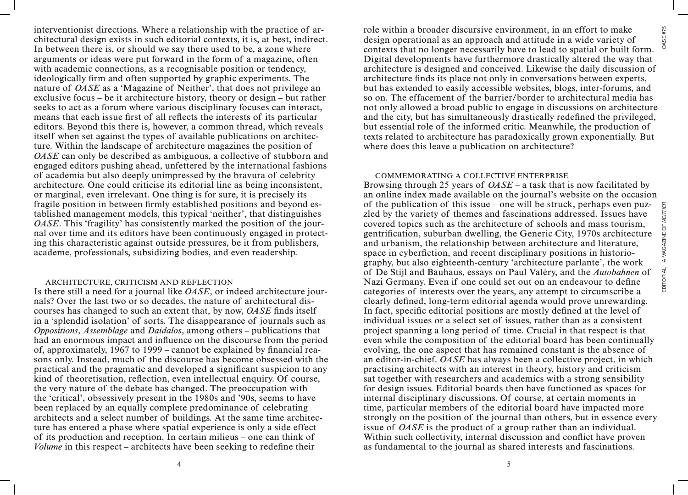interventionist directions. Where a relationship with the practice of architectural design exists in such editorial contexts, it is, at best, indirect. In between there is, or should we say there used to be, a zone where arguments or ideas were put forward in the form of a magazine, often with academic connections, as a recognisable position or tendency, ideologically firm and often supported by graphic experiments. The nature of *OASE* as a 'Magazine of Neither', that does not privilege an exclusive focus – be it architecture history, theory or design – but rather seeks to act as a forum where various disciplinary focuses can interact, means that each issue first of all reflects the interests of its particular editors. Beyond this there is, however, a common thread, which reveals itself when set against the types of available publications on architecture. Within the landscape of architecture magazines the position of *OASE* can only be described as ambiguous, a collective of stubborn and engaged editors pushing ahead, unfettered by the international fashions of academia but also deeply unimpressed by the bravura of celebrity architecture. One could criticise its editorial line as being inconsistent, or marginal, even irrelevant. One thing is for sure, it is precisely its fragile position in between firmly established positions and beyond established management models, this typical 'neither', that distinguishes *OASE*. This 'fragility' has consistently marked the position of the journal over time and its editors have been continuously engaged in protecting this characteristic against outside pressures, be it from publishers, academe, professionals, subsidizing bodies, and even readership.

## ARCHITECTURE, CRITICISM AND REFLECTION

Is there still a need for a journal like *OASE*, or indeed architecture journals? Over the last two or so decades, the nature of architectural discourses has changed to such an extent that, by now, *OASE* finds itself in a 'splendid isolation' of sorts. The disappearance of journals such as *Oppositions*, *Assemblage* and *Daidalos*, among others – publications that had an enormous impact and influence on the discourse from the period of, approximately, 1967 to 1999 – cannot be explained by financial reasons only. Instead, much of the discourse has become obsessed with the practical and the pragmatic and developed a significant suspicion to any kind of theoretisation, reflection, even intellectual enquiry. Of course, the very nature of the debate has changed. The preoccupation with the 'critical', obsessively present in the 1980s and '90s, seems to have been replaced by an equally complete predominance of celebrating architects and a select number of buildings. At the same time architecture has entered a phase where spatial experience is only a side effect of its production and reception. In certain milieus – one can think of *Volume* in this respect – architects have been seeking to redefine their

role within a broader discursive environment, in an effort to make design operational as an approach and attitude in a wide variety of contexts that no longer necessarily have to lead to spatial or built form. Digital developments have furthermore drastically altered the way that architecture is designed and conceived. Likewise the daily discussion of architecture finds its place not only in conversations between experts, but has extended to easily accessible websites, blogs, inter-forums, and so on. The effacement of the barrier/border to architectural media has not only allowed a broad public to engage in discussions on architecture and the city, but has simultaneously drastically redefined the privileged, but essential role of the informed critic. Meanwhile, the production of texts related to architecture has paradoxically grown exponentially. But where does this leave a publication on architecture?

## COMMEMORATING A COLLECTIVE ENTERPRISE

Browsing through 25 years of *OASE* – a task that is now facilitated by an online index made available on the journal's website on the occasion of the publication of this issue – one will be struck, perhaps even puzzled by the variety of themes and fascinations addressed. Issues have covered topics such as the architecture of schools and mass tourism, gentrification, suburban dwelling, the Generic City, 1970s architecture and urbanism, the relationship between architecture and literature, space in cyberfiction, and recent disciplinary positions in historiography, but also eighteenth-century 'architecture parlante', the work of De Stijl and Bauhaus, essays on Paul Valéry, and the *Autobahnen* of Nazi Germany. Even if one could set out on an endeavour to define categories of interests over the years, any attempt to circumscribe a clearly defined, long-term editorial agenda would prove unrewarding. In fact, specific editorial positions are mostly defined at the level of individual issues or a select set of issues, rather than as a consistent project spanning a long period of time. Crucial in that respect is that even while the composition of the editorial board has been continually evolving, the one aspect that has remained constant is the absence of an editor-in-chief. *OASE* has always been a collective project, in which practising architects with an interest in theory, history and criticism sat together with researchers and academics with a strong sensibility for design issues. Editorial boards then have functioned as spaces for internal disciplinary discussions. Of course, at certain moments in time, particular members of the editorial board have impacted more strongly on the position of the journal than others, but in essence every issue of *OASE* is the product of a group rather than an individual. Within such collectivity, internal discussion and conflict have proven as fundamental to the journal as shared interests and fascinations.

**OASE #75**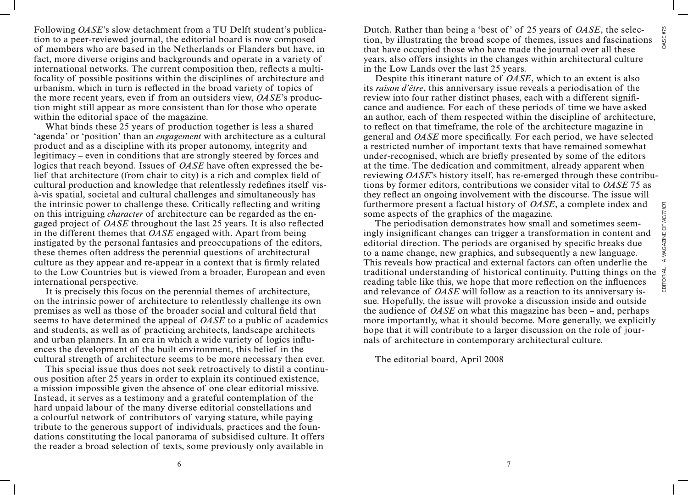**OASE #75** 

Following *OASE*'s slow detachment from a TU Delft student's publication to a peer-reviewed journal, the editorial board is now composed of members who are based in the Netherlands or Flanders but have, in fact, more diverse origins and backgrounds and operate in a variety of international networks. The current composition then, reflects a multifocality of possible positions within the disciplines of architecture and urbanism, which in turn is reflected in the broad variety of topics of the more recent years, even if from an outsiders view, *OASE*'s production might still appear as more consistent than for those who operate within the editorial space of the magazine.

What binds these 25 years of production together is less a shared 'agenda' or 'position' than an *engagement* with architecture as a cultural product and as a discipline with its proper autonomy, integrity and legitimacy – even in conditions that are strongly steered by forces and logics that reach beyond. Issues of *OASE* have often expressed the belief that architecture (from chair to city) is a rich and complex field of cultural production and knowledge that relentlessly redefines itself visà-vis spatial, societal and cultural challenges and simultaneously has the intrinsic power to challenge these. Critically reflecting and writing on this intriguing *character* of architecture can be regarded as the engaged project of *OASE* throughout the last 25 years. It is also reflected in the different themes that *OASE* engaged with. Apart from being instigated by the personal fantasies and preoccupations of the editors, these themes often address the perennial questions of architectural culture as they appear and re-appear in a context that is firmly related to the Low Countries but is viewed from a broader, European and even international perspective.

It is precisely this focus on the perennial themes of architecture, on the intrinsic power of architecture to relentlessly challenge its own premises as well as those of the broader social and cultural field that seems to have determined the appeal of *OASE* to a public of academics and students, as well as of practicing architects, landscape architects and urban planners. In an era in which a wide variety of logics influences the development of the built environment, this belief in the cultural strength of architecture seems to be more necessary then ever.

This special issue thus does not seek retroactively to distil a continuous position after 25 years in order to explain its continued existence, a mission impossible given the absence of one clear editorial missive. Instead, it serves as a testimony and a grateful contemplation of the hard unpaid labour of the many diverse editorial constellations and a colourful network of contributors of varying stature, while paying tribute to the generous support of individuals, practices and the foundations constituting the local panorama of subsidised culture. It offers the reader a broad selection of texts, some previously only available in

Dutch. Rather than being a 'best of' of 25 years of *OASE*, the selection, by illustrating the broad scope of themes, issues and fascinations that have occupied those who have made the journal over all these years, also offers insights in the changes within architectural culture in the Low Lands over the last 25 years.

Despite this itinerant nature of *OASE*, which to an extent is also its *raison d'être*, this anniversary issue reveals a periodisation of the review into four rather distinct phases, each with a different significance and audience. For each of these periods of time we have asked an author, each of them respected within the discipline of architecture, to reflect on that timeframe, the role of the architecture magazine in general and *OASE* more specifically. For each period, we have selected a restricted number of important texts that have remained somewhat under-recognised, which are briefly presented by some of the editors at the time. The dedication and commitment, already apparent when reviewing *OASE*'s history itself, has re-emerged through these contributions by former editors, contributions we consider vital to *OASE* 75 as they reflect an ongoing involvement with the discourse. The issue will furthermore present a factual history of *OASE*, a complete index and some aspects of the graphics of the magazine.

The periodisation demonstrates how small and sometimes seemingly insignificant changes can trigger a transformation in content and editorial direction. The periods are organised by specific breaks due to a name change, new graphics, and subsequently a new language. This reveals how practical and external factors can often underlie the traditional understanding of historical continuity. Putting things on the reading table like this, we hope that more reflection on the influences and relevance of *OASE* will follow as a reaction to its anniversary issue. Hopefully, the issue will provoke a discussion inside and outside the audience of *OASE* on what this magazine has been – and, perhaps more importantly, what it should become. More generally, we explicitly hope that it will contribute to a larger discussion on the role of journals of architecture in contemporary architectural culture.

The editorial board, April 2008